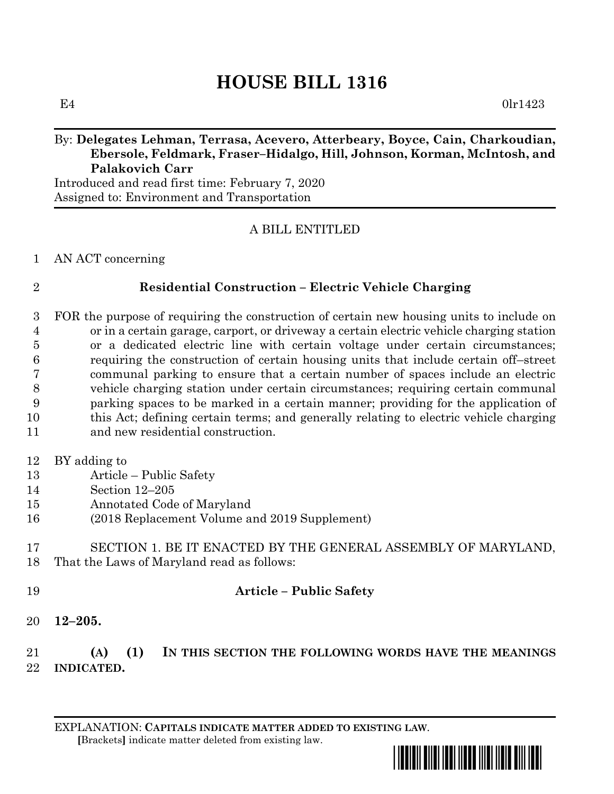# **HOUSE BILL 1316**

 $E4$  0lr1423

# By: **Delegates Lehman, Terrasa, Acevero, Atterbeary, Boyce, Cain, Charkoudian, Ebersole, Feldmark, Fraser–Hidalgo, Hill, Johnson, Korman, McIntosh, and Palakovich Carr**

Introduced and read first time: February 7, 2020 Assigned to: Environment and Transportation

# A BILL ENTITLED

#### AN ACT concerning

### **Residential Construction – Electric Vehicle Charging**

 FOR the purpose of requiring the construction of certain new housing units to include on or in a certain garage, carport, or driveway a certain electric vehicle charging station or a dedicated electric line with certain voltage under certain circumstances; requiring the construction of certain housing units that include certain off–street communal parking to ensure that a certain number of spaces include an electric vehicle charging station under certain circumstances; requiring certain communal parking spaces to be marked in a certain manner; providing for the application of this Act; defining certain terms; and generally relating to electric vehicle charging and new residential construction.

- BY adding to
- Article Public Safety
- Section 12–205
- Annotated Code of Maryland
- (2018 Replacement Volume and 2019 Supplement)

### SECTION 1. BE IT ENACTED BY THE GENERAL ASSEMBLY OF MARYLAND, That the Laws of Maryland read as follows:

### **Article – Public Safety**

**12–205.**

# **(A) (1) IN THIS SECTION THE FOLLOWING WORDS HAVE THE MEANINGS INDICATED.**

EXPLANATION: **CAPITALS INDICATE MATTER ADDED TO EXISTING LAW**.  **[**Brackets**]** indicate matter deleted from existing law.

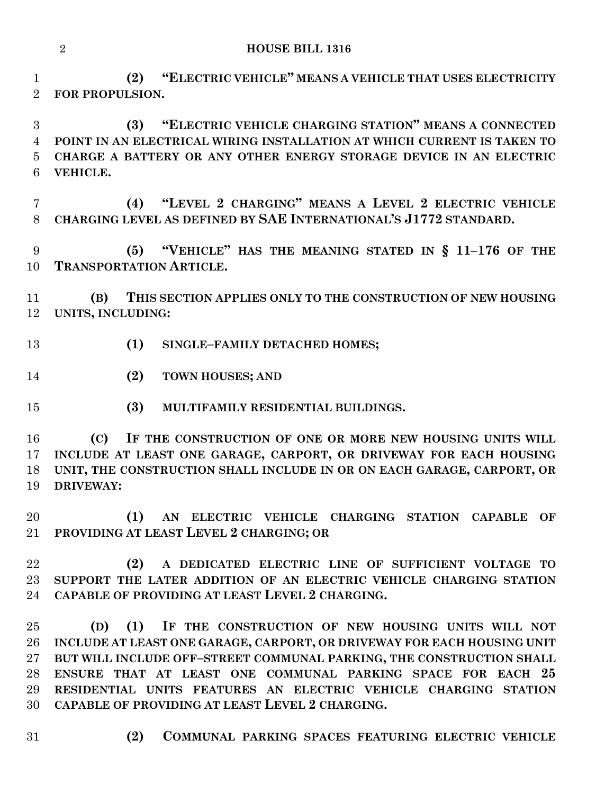**HOUSE BILL 1316**

 **(2) "ELECTRIC VEHICLE" MEANS A VEHICLE THAT USES ELECTRICITY FOR PROPULSION.**

 **(3) "ELECTRIC VEHICLE CHARGING STATION" MEANS A CONNECTED POINT IN AN ELECTRICAL WIRING INSTALLATION AT WHICH CURRENT IS TAKEN TO CHARGE A BATTERY OR ANY OTHER ENERGY STORAGE DEVICE IN AN ELECTRIC VEHICLE.**

 **(4) "LEVEL 2 CHARGING" MEANS A LEVEL 2 ELECTRIC VEHICLE CHARGING LEVEL AS DEFINED BY SAE INTERNATIONAL'S J1772 STANDARD.**

 **(5) "VEHICLE" HAS THE MEANING STATED IN § 11–176 OF THE TRANSPORTATION ARTICLE.**

 **(B) THIS SECTION APPLIES ONLY TO THE CONSTRUCTION OF NEW HOUSING UNITS, INCLUDING:**

- **(1) SINGLE–FAMILY DETACHED HOMES;**
- **(2) TOWN HOUSES; AND**
- **(3) MULTIFAMILY RESIDENTIAL BUILDINGS.**

 **(C) IF THE CONSTRUCTION OF ONE OR MORE NEW HOUSING UNITS WILL INCLUDE AT LEAST ONE GARAGE, CARPORT, OR DRIVEWAY FOR EACH HOUSING UNIT, THE CONSTRUCTION SHALL INCLUDE IN OR ON EACH GARAGE, CARPORT, OR DRIVEWAY:**

 **(1) AN ELECTRIC VEHICLE CHARGING STATION CAPABLE OF PROVIDING AT LEAST LEVEL 2 CHARGING; OR**

 **(2) A DEDICATED ELECTRIC LINE OF SUFFICIENT VOLTAGE TO SUPPORT THE LATER ADDITION OF AN ELECTRIC VEHICLE CHARGING STATION CAPABLE OF PROVIDING AT LEAST LEVEL 2 CHARGING.**

 **(D) (1) IF THE CONSTRUCTION OF NEW HOUSING UNITS WILL NOT INCLUDE AT LEAST ONE GARAGE, CARPORT, OR DRIVEWAY FOR EACH HOUSING UNIT BUT WILL INCLUDE OFF–STREET COMMUNAL PARKING, THE CONSTRUCTION SHALL ENSURE THAT AT LEAST ONE COMMUNAL PARKING SPACE FOR EACH 25 RESIDENTIAL UNITS FEATURES AN ELECTRIC VEHICLE CHARGING STATION CAPABLE OF PROVIDING AT LEAST LEVEL 2 CHARGING.**

- 
- **(2) COMMUNAL PARKING SPACES FEATURING ELECTRIC VEHICLE**